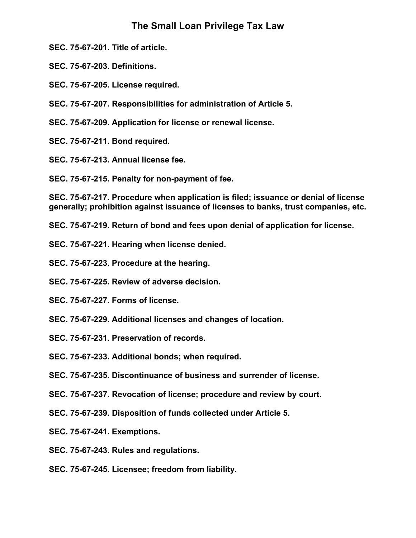# **The Small Loan Privilege Tax Law**

**SEC. 75-67-201. Title of article.** 

**SEC. 75-67-203. Definitions.** 

**SEC. 75-67-205. License required.** 

**SEC. 75-67-207. Responsibilities for administration of Article 5.** 

**SEC. 75-67-209. Application for license or renewal license.** 

**SEC. 75-67-211. Bond required.** 

**SEC. 75-67-213. Annual license fee.** 

**SEC. 75-67-215. Penalty for non-payment of fee.** 

**SEC. 75-67-217. Procedure when application is filed; issuance or denial of license generally; prohibition against issuance of licenses to banks, trust companies, etc.** 

**SEC. 75-67-219. Return of bond and fees upon denial of application for license.** 

- **SEC. 75-67-221. Hearing when license denied.**
- **SEC. 75-67-223. Procedure at the hearing.**
- **SEC. 75-67-225. Review of adverse decision.**
- **SEC. 75-67-227. Forms of license.**
- **SEC. 75-67-229. Additional licenses and changes of location.**
- **SEC. 75-67-231. Preservation of records.**
- **SEC. 75-67-233. Additional bonds; when required.**
- **SEC. 75-67-235. Discontinuance of business and surrender of license.**
- **SEC. 75-67-237. Revocation of license; procedure and review by court.**
- **SEC. 75-67-239. Disposition of funds collected under Article 5.**
- **SEC. 75-67-241. Exemptions.**
- **SEC. 75-67-243. Rules and regulations.**
- **SEC. 75-67-245. Licensee; freedom from liability.**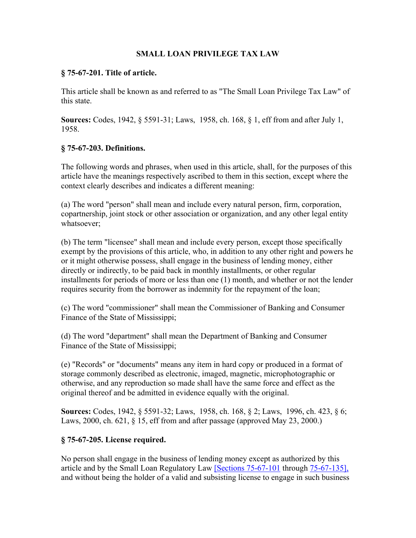## **SMALL LOAN PRIVILEGE TAX LAW**

#### **§ 75-67-201. Title of article.**

This article shall be known as and referred to as "The Small Loan Privilege Tax Law" of this state.

**Sources:** Codes, 1942, § 5591-31; Laws, 1958, ch. 168, § 1, eff from and after July 1, 1958.

#### **§ 75-67-203. Definitions.**

The following words and phrases, when used in this article, shall, for the purposes of this article have the meanings respectively ascribed to them in this section, except where the context clearly describes and indicates a different meaning:

(a) The word "person" shall mean and include every natural person, firm, corporation, copartnership, joint stock or other association or organization, and any other legal entity whatsoever;

(b) The term "licensee" shall mean and include every person, except those specifically exempt by the provisions of this article, who, in addition to any other right and powers he or it might otherwise possess, shall engage in the business of lending money, either directly or indirectly, to be paid back in monthly installments, or other regular installments for periods of more or less than one (1) month, and whether or not the lender requires security from the borrower as indemnity for the repayment of the loan;

(c) The word "commissioner" shall mean the Commissioner of Banking and Consumer Finance of the State of Mississippi;

(d) The word "department" shall mean the Department of Banking and Consumer Finance of the State of Mississippi;

(e) "Records" or "documents" means any item in hard copy or produced in a format of storage commonly described as electronic, imaged, magnetic, microphotographic or otherwise, and any reproduction so made shall have the same force and effect as the original thereof and be admitted in evidence equally with the original.

**Sources:** Codes, 1942, § 5591-32; Laws, 1958, ch. 168, § 2; Laws, 1996, ch. 423, § 6; Laws, 2000, ch. 621, § 15, eff from and after passage (approved May 23, 2000.)

## **§ 75-67-205. License required.**

No person shall engage in the business of lending money except as authorized by this article and by the Small Loan Regulatory Law [Sections 75-67-101 through 75-67-135], and without being the holder of a valid and subsisting license to engage in such business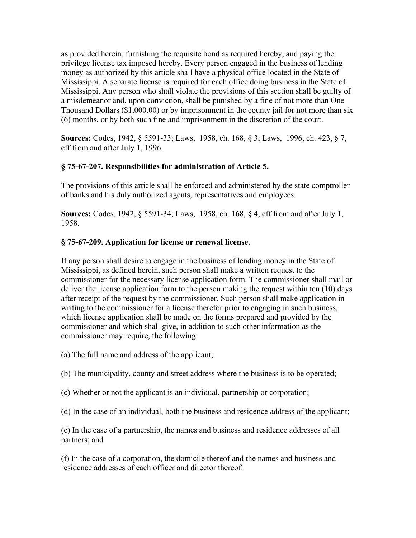as provided herein, furnishing the requisite bond as required hereby, and paying the privilege license tax imposed hereby. Every person engaged in the business of lending money as authorized by this article shall have a physical office located in the State of Mississippi. A separate license is required for each office doing business in the State of Mississippi. Any person who shall violate the provisions of this section shall be guilty of a misdemeanor and, upon conviction, shall be punished by a fine of not more than One Thousand Dollars (\$1,000.00) or by imprisonment in the county jail for not more than six (6) months, or by both such fine and imprisonment in the discretion of the court.

**Sources:** Codes, 1942, § 5591-33; Laws, 1958, ch. 168, § 3; Laws, 1996, ch. 423, § 7, eff from and after July 1, 1996.

# **§ 75-67-207. Responsibilities for administration of Article 5.**

The provisions of this article shall be enforced and administered by the state comptroller of banks and his duly authorized agents, representatives and employees.

**Sources:** Codes, 1942, § 5591-34; Laws, 1958, ch. 168, § 4, eff from and after July 1, 1958.

## **§ 75-67-209. Application for license or renewal license.**

If any person shall desire to engage in the business of lending money in the State of Mississippi, as defined herein, such person shall make a written request to the commissioner for the necessary license application form. The commissioner shall mail or deliver the license application form to the person making the request within ten (10) days after receipt of the request by the commissioner. Such person shall make application in writing to the commissioner for a license therefor prior to engaging in such business, which license application shall be made on the forms prepared and provided by the commissioner and which shall give, in addition to such other information as the commissioner may require, the following:

- (a) The full name and address of the applicant;
- (b) The municipality, county and street address where the business is to be operated;
- (c) Whether or not the applicant is an individual, partnership or corporation;
- (d) In the case of an individual, both the business and residence address of the applicant;

(e) In the case of a partnership, the names and business and residence addresses of all partners; and

(f) In the case of a corporation, the domicile thereof and the names and business and residence addresses of each officer and director thereof.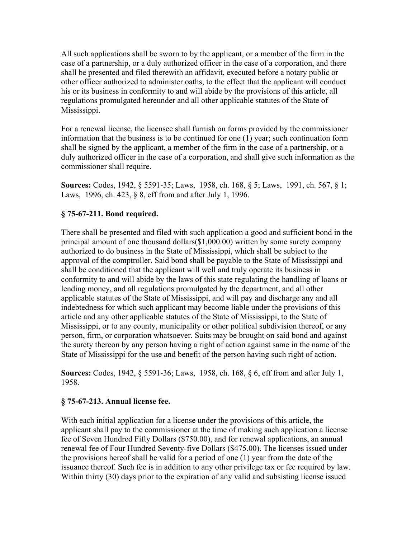All such applications shall be sworn to by the applicant, or a member of the firm in the case of a partnership, or a duly authorized officer in the case of a corporation, and there shall be presented and filed therewith an affidavit, executed before a notary public or other officer authorized to administer oaths, to the effect that the applicant will conduct his or its business in conformity to and will abide by the provisions of this article, all regulations promulgated hereunder and all other applicable statutes of the State of Mississippi.

For a renewal license, the licensee shall furnish on forms provided by the commissioner information that the business is to be continued for one (1) year; such continuation form shall be signed by the applicant, a member of the firm in the case of a partnership, or a duly authorized officer in the case of a corporation, and shall give such information as the commissioner shall require.

**Sources:** Codes, 1942, § 5591-35; Laws, 1958, ch. 168, § 5; Laws, 1991, ch. 567, § 1; Laws, 1996, ch. 423, § 8, eff from and after July 1, 1996.

# **§ 75-67-211. Bond required.**

There shall be presented and filed with such application a good and sufficient bond in the principal amount of one thousand dollars(\$1,000.00) written by some surety company authorized to do business in the State of Mississippi, which shall be subject to the approval of the comptroller. Said bond shall be payable to the State of Mississippi and shall be conditioned that the applicant will well and truly operate its business in conformity to and will abide by the laws of this state regulating the handling of loans or lending money, and all regulations promulgated by the department, and all other applicable statutes of the State of Mississippi, and will pay and discharge any and all indebtedness for which such applicant may become liable under the provisions of this article and any other applicable statutes of the State of Mississippi, to the State of Mississippi, or to any county, municipality or other political subdivision thereof, or any person, firm, or corporation whatsoever. Suits may be brought on said bond and against the surety thereon by any person having a right of action against same in the name of the State of Mississippi for the use and benefit of the person having such right of action.

**Sources:** Codes, 1942, § 5591-36; Laws, 1958, ch. 168, § 6, eff from and after July 1, 1958.

## **§ 75-67-213. Annual license fee.**

With each initial application for a license under the provisions of this article, the applicant shall pay to the commissioner at the time of making such application a license fee of Seven Hundred Fifty Dollars (\$750.00), and for renewal applications, an annual renewal fee of Four Hundred Seventy-five Dollars (\$475.00). The licenses issued under the provisions hereof shall be valid for a period of one (1) year from the date of the issuance thereof. Such fee is in addition to any other privilege tax or fee required by law. Within thirty (30) days prior to the expiration of any valid and subsisting license issued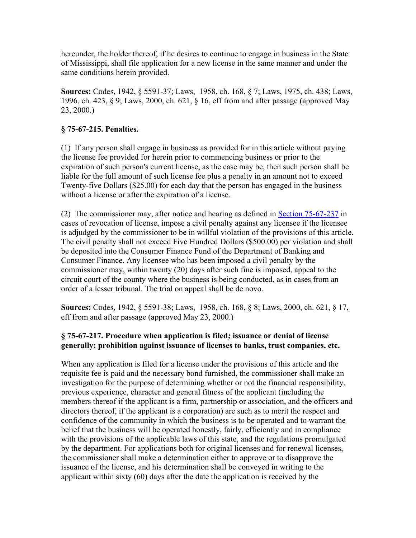hereunder, the holder thereof, if he desires to continue to engage in business in the State of Mississippi, shall file application for a new license in the same manner and under the same conditions herein provided.

**Sources:** Codes, 1942, § 5591-37; Laws, 1958, ch. 168, § 7; Laws, 1975, ch. 438; Laws, 1996, ch. 423, § 9; Laws, 2000, ch. 621, § 16, eff from and after passage (approved May 23, 2000.)

## **§ 75-67-215. Penalties.**

(1) If any person shall engage in business as provided for in this article without paying the license fee provided for herein prior to commencing business or prior to the expiration of such person's current license, as the case may be, then such person shall be liable for the full amount of such license fee plus a penalty in an amount not to exceed Twenty-five Dollars (\$25.00) for each day that the person has engaged in the business without a license or after the expiration of a license.

(2) The commissioner may, after notice and hearing as defined in Section 75-67-237 in cases of revocation of license, impose a civil penalty against any licensee if the licensee is adjudged by the commissioner to be in willful violation of the provisions of this article. The civil penalty shall not exceed Five Hundred Dollars (\$500.00) per violation and shall be deposited into the Consumer Finance Fund of the Department of Banking and Consumer Finance. Any licensee who has been imposed a civil penalty by the commissioner may, within twenty (20) days after such fine is imposed, appeal to the circuit court of the county where the business is being conducted, as in cases from an order of a lesser tribunal. The trial on appeal shall be de novo.

**Sources:** Codes, 1942, § 5591-38; Laws, 1958, ch. 168, § 8; Laws, 2000, ch. 621, § 17, eff from and after passage (approved May 23, 2000.)

# **§ 75-67-217. Procedure when application is filed; issuance or denial of license generally; prohibition against issuance of licenses to banks, trust companies, etc.**

When any application is filed for a license under the provisions of this article and the requisite fee is paid and the necessary bond furnished, the commissioner shall make an investigation for the purpose of determining whether or not the financial responsibility, previous experience, character and general fitness of the applicant (including the members thereof if the applicant is a firm, partnership or association, and the officers and directors thereof, if the applicant is a corporation) are such as to merit the respect and confidence of the community in which the business is to be operated and to warrant the belief that the business will be operated honestly, fairly, efficiently and in compliance with the provisions of the applicable laws of this state, and the regulations promulgated by the department. For applications both for original licenses and for renewal licenses, the commissioner shall make a determination either to approve or to disapprove the issuance of the license, and his determination shall be conveyed in writing to the applicant within sixty (60) days after the date the application is received by the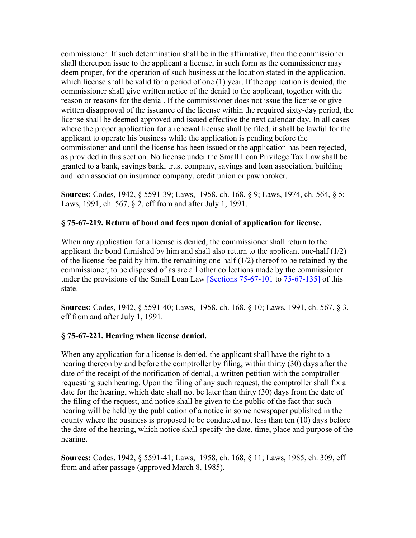commissioner. If such determination shall be in the affirmative, then the commissioner shall thereupon issue to the applicant a license, in such form as the commissioner may deem proper, for the operation of such business at the location stated in the application, which license shall be valid for a period of one (1) year. If the application is denied, the commissioner shall give written notice of the denial to the applicant, together with the reason or reasons for the denial. If the commissioner does not issue the license or give written disapproval of the issuance of the license within the required sixty-day period, the license shall be deemed approved and issued effective the next calendar day. In all cases where the proper application for a renewal license shall be filed, it shall be lawful for the applicant to operate his business while the application is pending before the commissioner and until the license has been issued or the application has been rejected, as provided in this section. No license under the Small Loan Privilege Tax Law shall be granted to a bank, savings bank, trust company, savings and loan association, building and loan association insurance company, credit union or pawnbroker.

**Sources:** Codes, 1942, § 5591-39; Laws, 1958, ch. 168, § 9; Laws, 1974, ch. 564, § 5; Laws, 1991, ch. 567, § 2, eff from and after July 1, 1991.

## **§ 75-67-219. Return of bond and fees upon denial of application for license.**

When any application for a license is denied, the commissioner shall return to the applicant the bond furnished by him and shall also return to the applicant one-half  $(1/2)$ of the license fee paid by him, the remaining one-half (1/2) thereof to be retained by the commissioner, to be disposed of as are all other collections made by the commissioner under the provisions of the Small Loan Law [Sections 75-67-101 to 75-67-135] of this state.

**Sources:** Codes, 1942, § 5591-40; Laws, 1958, ch. 168, § 10; Laws, 1991, ch. 567, § 3, eff from and after July 1, 1991.

#### **§ 75-67-221. Hearing when license denied.**

When any application for a license is denied, the applicant shall have the right to a hearing thereon by and before the comptroller by filing, within thirty (30) days after the date of the receipt of the notification of denial, a written petition with the comptroller requesting such hearing. Upon the filing of any such request, the comptroller shall fix a date for the hearing, which date shall not be later than thirty (30) days from the date of the filing of the request, and notice shall be given to the public of the fact that such hearing will be held by the publication of a notice in some newspaper published in the county where the business is proposed to be conducted not less than ten (10) days before the date of the hearing, which notice shall specify the date, time, place and purpose of the hearing.

**Sources:** Codes, 1942, § 5591-41; Laws, 1958, ch. 168, § 11; Laws, 1985, ch. 309, eff from and after passage (approved March 8, 1985).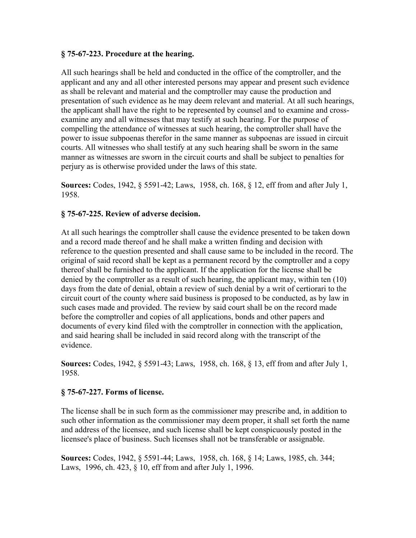#### **§ 75-67-223. Procedure at the hearing.**

All such hearings shall be held and conducted in the office of the comptroller, and the applicant and any and all other interested persons may appear and present such evidence as shall be relevant and material and the comptroller may cause the production and presentation of such evidence as he may deem relevant and material. At all such hearings, the applicant shall have the right to be represented by counsel and to examine and crossexamine any and all witnesses that may testify at such hearing. For the purpose of compelling the attendance of witnesses at such hearing, the comptroller shall have the power to issue subpoenas therefor in the same manner as subpoenas are issued in circuit courts. All witnesses who shall testify at any such hearing shall be sworn in the same manner as witnesses are sworn in the circuit courts and shall be subject to penalties for perjury as is otherwise provided under the laws of this state.

**Sources:** Codes, 1942, § 5591-42; Laws, 1958, ch. 168, § 12, eff from and after July 1, 1958.

## **§ 75-67-225. Review of adverse decision.**

At all such hearings the comptroller shall cause the evidence presented to be taken down and a record made thereof and he shall make a written finding and decision with reference to the question presented and shall cause same to be included in the record. The original of said record shall be kept as a permanent record by the comptroller and a copy thereof shall be furnished to the applicant. If the application for the license shall be denied by the comptroller as a result of such hearing, the applicant may, within ten (10) days from the date of denial, obtain a review of such denial by a writ of certiorari to the circuit court of the county where said business is proposed to be conducted, as by law in such cases made and provided. The review by said court shall be on the record made before the comptroller and copies of all applications, bonds and other papers and documents of every kind filed with the comptroller in connection with the application, and said hearing shall be included in said record along with the transcript of the evidence.

**Sources:** Codes, 1942, § 5591-43; Laws, 1958, ch. 168, § 13, eff from and after July 1, 1958.

## **§ 75-67-227. Forms of license.**

The license shall be in such form as the commissioner may prescribe and, in addition to such other information as the commissioner may deem proper, it shall set forth the name and address of the licensee, and such license shall be kept conspicuously posted in the licensee's place of business. Such licenses shall not be transferable or assignable.

**Sources:** Codes, 1942, § 5591-44; Laws, 1958, ch. 168, § 14; Laws, 1985, ch. 344; Laws, 1996, ch. 423, § 10, eff from and after July 1, 1996.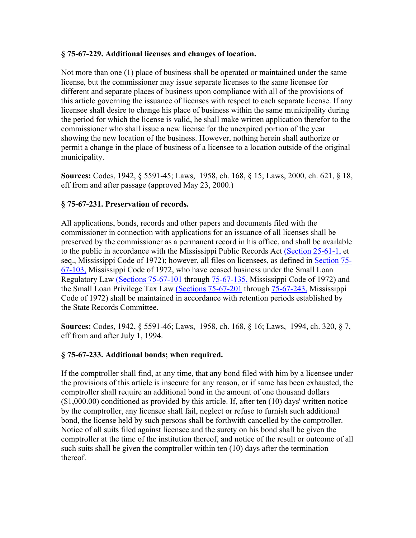#### **§ 75-67-229. Additional licenses and changes of location.**

Not more than one (1) place of business shall be operated or maintained under the same license, but the commissioner may issue separate licenses to the same licensee for different and separate places of business upon compliance with all of the provisions of this article governing the issuance of licenses with respect to each separate license. If any licensee shall desire to change his place of business within the same municipality during the period for which the license is valid, he shall make written application therefor to the commissioner who shall issue a new license for the unexpired portion of the year showing the new location of the business. However, nothing herein shall authorize or permit a change in the place of business of a licensee to a location outside of the original municipality.

**Sources:** Codes, 1942, § 5591-45; Laws, 1958, ch. 168, § 15; Laws, 2000, ch. 621, § 18, eff from and after passage (approved May 23, 2000.)

## **§ 75-67-231. Preservation of records.**

All applications, bonds, records and other papers and documents filed with the commissioner in connection with applications for an issuance of all licenses shall be preserved by the commissioner as a permanent record in his office, and shall be available to the public in accordance with the Mississippi Public Records Act (Section 25-61-1, et seq., Mississippi Code of 1972); however, all files on licensees, as defined in Section 75- 67-103, Mississippi Code of 1972, who have ceased business under the Small Loan Regulatory Law (Sections 75-67-101 through 75-67-135, Mississippi Code of 1972) and the Small Loan Privilege Tax Law (Sections 75-67-201 through 75-67-243, Mississippi Code of 1972) shall be maintained in accordance with retention periods established by the State Records Committee.

**Sources:** Codes, 1942, § 5591-46; Laws, 1958, ch. 168, § 16; Laws, 1994, ch. 320, § 7, eff from and after July 1, 1994.

## **§ 75-67-233. Additional bonds; when required.**

If the comptroller shall find, at any time, that any bond filed with him by a licensee under the provisions of this article is insecure for any reason, or if same has been exhausted, the comptroller shall require an additional bond in the amount of one thousand dollars (\$1,000.00) conditioned as provided by this article. If, after ten (10) days' written notice by the comptroller, any licensee shall fail, neglect or refuse to furnish such additional bond, the license held by such persons shall be forthwith cancelled by the comptroller. Notice of all suits filed against licensee and the surety on his bond shall be given the comptroller at the time of the institution thereof, and notice of the result or outcome of all such suits shall be given the comptroller within ten (10) days after the termination thereof.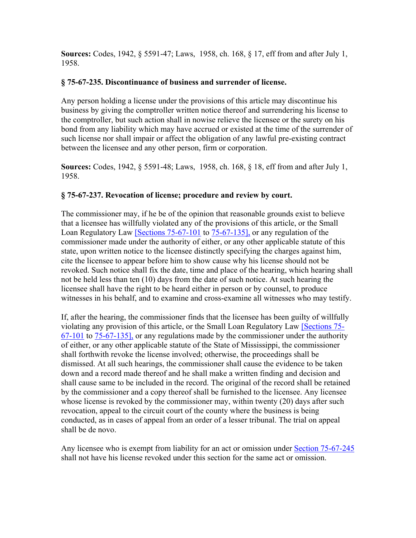**Sources:** Codes, 1942, § 5591-47; Laws, 1958, ch. 168, § 17, eff from and after July 1, 1958.

#### **§ 75-67-235. Discontinuance of business and surrender of license.**

Any person holding a license under the provisions of this article may discontinue his business by giving the comptroller written notice thereof and surrendering his license to the comptroller, but such action shall in nowise relieve the licensee or the surety on his bond from any liability which may have accrued or existed at the time of the surrender of such license nor shall impair or affect the obligation of any lawful pre-existing contract between the licensee and any other person, firm or corporation.

**Sources:** Codes, 1942, § 5591-48; Laws, 1958, ch. 168, § 18, eff from and after July 1, 1958.

#### **§ 75-67-237. Revocation of license; procedure and review by court.**

The commissioner may, if he be of the opinion that reasonable grounds exist to believe that a licensee has willfully violated any of the provisions of this article, or the Small Loan Regulatory Law [Sections 75-67-101 to 75-67-135], or any regulation of the commissioner made under the authority of either, or any other applicable statute of this state, upon written notice to the licensee distinctly specifying the charges against him, cite the licensee to appear before him to show cause why his license should not be revoked. Such notice shall fix the date, time and place of the hearing, which hearing shall not be held less than ten (10) days from the date of such notice. At such hearing the licensee shall have the right to be heard either in person or by counsel, to produce witnesses in his behalf, and to examine and cross-examine all witnesses who may testify.

If, after the hearing, the commissioner finds that the licensee has been guilty of willfully violating any provision of this article, or the Small Loan Regulatory Law [Sections 75- 67-101 to 75-67-135], or any regulations made by the commissioner under the authority of either, or any other applicable statute of the State of Mississippi, the commissioner shall forthwith revoke the license involved; otherwise, the proceedings shall be dismissed. At all such hearings, the commissioner shall cause the evidence to be taken down and a record made thereof and he shall make a written finding and decision and shall cause same to be included in the record. The original of the record shall be retained by the commissioner and a copy thereof shall be furnished to the licensee. Any licensee whose license is revoked by the commissioner may, within twenty (20) days after such revocation, appeal to the circuit court of the county where the business is being conducted, as in cases of appeal from an order of a lesser tribunal. The trial on appeal shall be de novo.

Any licensee who is exempt from liability for an act or omission under Section 75-67-245 shall not have his license revoked under this section for the same act or omission.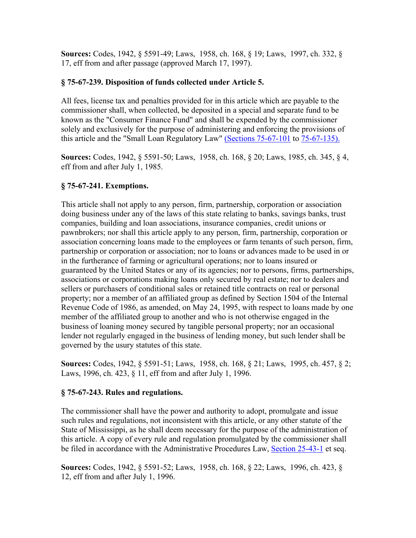**Sources:** Codes, 1942, § 5591-49; Laws, 1958, ch. 168, § 19; Laws, 1997, ch. 332, § 17, eff from and after passage (approved March 17, 1997).

## **§ 75-67-239. Disposition of funds collected under Article 5.**

All fees, license tax and penalties provided for in this article which are payable to the commissioner shall, when collected, be deposited in a special and separate fund to be known as the "Consumer Finance Fund" and shall be expended by the commissioner solely and exclusively for the purpose of administering and enforcing the provisions of this article and the "Small Loan Regulatory Law" (Sections 75-67-101 to 75-67-135).

**Sources:** Codes, 1942, § 5591-50; Laws, 1958, ch. 168, § 20; Laws, 1985, ch. 345, § 4, eff from and after July 1, 1985.

# **§ 75-67-241. Exemptions.**

This article shall not apply to any person, firm, partnership, corporation or association doing business under any of the laws of this state relating to banks, savings banks, trust companies, building and loan associations, insurance companies, credit unions or pawnbrokers; nor shall this article apply to any person, firm, partnership, corporation or association concerning loans made to the employees or farm tenants of such person, firm, partnership or corporation or association; nor to loans or advances made to be used in or in the furtherance of farming or agricultural operations; nor to loans insured or guaranteed by the United States or any of its agencies; nor to persons, firms, partnerships, associations or corporations making loans only secured by real estate; nor to dealers and sellers or purchasers of conditional sales or retained title contracts on real or personal property; nor a member of an affiliated group as defined by Section 1504 of the Internal Revenue Code of 1986, as amended, on May 24, 1995, with respect to loans made by one member of the affiliated group to another and who is not otherwise engaged in the business of loaning money secured by tangible personal property; nor an occasional lender not regularly engaged in the business of lending money, but such lender shall be governed by the usury statutes of this state.

**Sources:** Codes, 1942, § 5591-51; Laws, 1958, ch. 168, § 21; Laws, 1995, ch. 457, § 2; Laws, 1996, ch. 423, § 11, eff from and after July 1, 1996.

## **§ 75-67-243. Rules and regulations.**

The commissioner shall have the power and authority to adopt, promulgate and issue such rules and regulations, not inconsistent with this article, or any other statute of the State of Mississippi, as he shall deem necessary for the purpose of the administration of this article. A copy of every rule and regulation promulgated by the commissioner shall be filed in accordance with the Administrative Procedures Law, Section 25-43-1 et seq.

**Sources:** Codes, 1942, § 5591-52; Laws, 1958, ch. 168, § 22; Laws, 1996, ch. 423, § 12, eff from and after July 1, 1996.